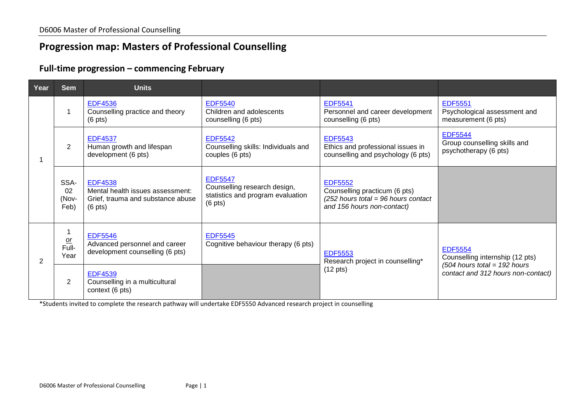## **Progression map: Masters of Professional Counselling**

## **Full-time progression – commencing February**

| Year | <b>Sem</b>                  | <b>Units</b>                                                                                                 |                                                                                                          |                                                                                                                        |                                                                                                                           |
|------|-----------------------------|--------------------------------------------------------------------------------------------------------------|----------------------------------------------------------------------------------------------------------|------------------------------------------------------------------------------------------------------------------------|---------------------------------------------------------------------------------------------------------------------------|
|      |                             | <b>EDF4536</b><br>Counselling practice and theory<br>$(6 \text{ pts})$                                       | <b>EDF5540</b><br>Children and adolescents<br>counselling (6 pts)                                        | <b>EDF5541</b><br>Personnel and career development<br>counselling (6 pts)                                              | <b>EDF5551</b><br>Psychological assessment and<br>measurement (6 pts)                                                     |
|      | $\overline{2}$              | <b>EDF4537</b><br>Human growth and lifespan<br>development (6 pts)                                           | <b>EDF5542</b><br>Counselling skills: Individuals and<br>couples (6 pts)                                 | <b>EDF5543</b><br>Ethics and professional issues in<br>counselling and psychology (6 pts)                              | <b>EDF5544</b><br>Group counselling skills and<br>psychotherapy (6 pts)                                                   |
|      | SSA-<br>02<br>(Nov-<br>Feb) | <b>EDF4538</b><br>Mental health issues assessment:<br>Grief, trauma and substance abuse<br>$(6 \text{ pts})$ | <b>EDF5547</b><br>Counselling research design,<br>statistics and program evaluation<br>$(6 \text{ pts})$ | <b>EDF5552</b><br>Counselling practicum (6 pts)<br>$(252$ hours total = 96 hours contact<br>and 156 hours non-contact) |                                                                                                                           |
| 2    | $rac{or}{Full}$<br>Year     | <b>EDF5546</b><br>Advanced personnel and career<br>development counselling (6 pts)                           | <b>EDF5545</b><br>Cognitive behaviour therapy (6 pts)                                                    | <b>EDF5553</b><br>Research project in counselling*                                                                     | <b>EDF5554</b><br>Counselling internship (12 pts)<br>$(504$ hours total = 192 hours<br>contact and 312 hours non-contact) |
|      | $\overline{2}$              | <b>EDF4539</b><br>Counselling in a multicultural<br>context (6 pts)                                          |                                                                                                          | $(12 \text{ pts})$                                                                                                     |                                                                                                                           |

\*Students invited to complete the research pathway will undertake EDF5550 Advanced research project in counselling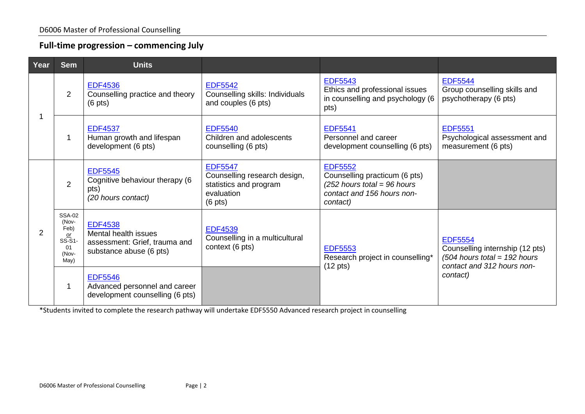## **Full-time progression – commencing July**

| Year | <b>Sem</b>                                                               | <b>Units</b>                                                                                       |                                                                                                             |                                                                                                                            |                                                                                                                               |
|------|--------------------------------------------------------------------------|----------------------------------------------------------------------------------------------------|-------------------------------------------------------------------------------------------------------------|----------------------------------------------------------------------------------------------------------------------------|-------------------------------------------------------------------------------------------------------------------------------|
|      | 2                                                                        | <b>EDF4536</b><br>Counselling practice and theory<br>$(6 \text{ pts})$                             | <b>EDF5542</b><br>Counselling skills: Individuals<br>and couples (6 pts)                                    | <b>EDF5543</b><br>Ethics and professional issues<br>in counselling and psychology (6<br>pts)                               | <b>EDF5544</b><br>Group counselling skills and<br>psychotherapy (6 pts)                                                       |
|      |                                                                          | <b>EDF4537</b><br>Human growth and lifespan<br>development (6 pts)                                 | <b>EDF5540</b><br>Children and adolescents<br>counselling (6 pts)                                           | <b>EDF5541</b><br>Personnel and career<br>development counselling (6 pts)                                                  | <b>EDF5551</b><br>Psychological assessment and<br>measurement (6 pts)                                                         |
| 2    | 2                                                                        | <b>EDF5545</b><br>Cognitive behaviour therapy (6<br>pts)<br>(20 hours contact)                     | <b>EDF5547</b><br>Counselling research design,<br>statistics and program<br>evaluation<br>$(6 \text{ pts})$ | <b>EDF5552</b><br>Counselling practicum (6 pts)<br>$(252$ hours total = 96 hours<br>contact and 156 hours non-<br>contact) |                                                                                                                               |
|      | <b>SSA-02</b><br>(Nov-<br>Feb)<br>$or$<br>$SS-S1$<br>01<br>(Nov-<br>May) | <b>EDF4538</b><br>Mental health issues<br>assessment: Grief, trauma and<br>substance abuse (6 pts) | <b>EDF4539</b><br>Counselling in a multicultural<br>context (6 pts)                                         | <b>EDF5553</b><br>Research project in counselling*                                                                         | <b>EDF5554</b><br>Counselling internship (12 pts)<br>$(504$ hours total = 192 hours<br>contact and 312 hours non-<br>contact) |
|      |                                                                          | <b>EDF5546</b><br>Advanced personnel and career<br>development counselling (6 pts)                 |                                                                                                             | $(12 \text{ pts})$                                                                                                         |                                                                                                                               |

\*Students invited to complete the research pathway will undertake EDF5550 Advanced research project in counselling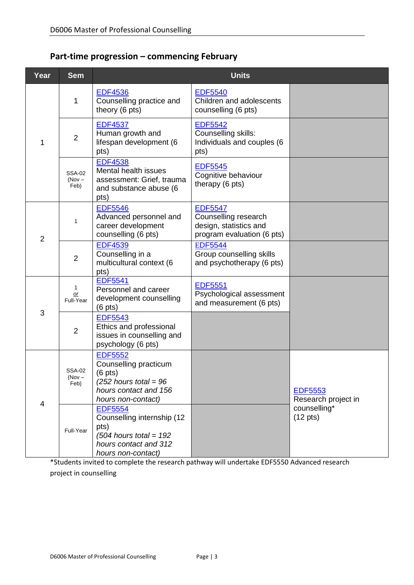## **Part-time progression – commencing February**

| Year           | <b>Sem</b>                        | <b>Units</b>                                                                                                                           |                                                                                                |                                       |
|----------------|-----------------------------------|----------------------------------------------------------------------------------------------------------------------------------------|------------------------------------------------------------------------------------------------|---------------------------------------|
|                | 1                                 | <b>EDF4536</b><br>Counselling practice and<br>theory (6 pts)                                                                           | <b>EDF5540</b><br>Children and adolescents<br>counselling (6 pts)                              |                                       |
| 1              | $\overline{2}$                    | <b>EDF4537</b><br>Human growth and<br>lifespan development (6<br>pts)                                                                  | <b>EDF5542</b><br>Counselling skills:<br>Individuals and couples (6<br>pts)                    |                                       |
|                | <b>SSA-02</b><br>$(Nov -$<br>Feb) | <b>EDF4538</b><br>Mental health issues<br>assessment: Grief, trauma<br>and substance abuse (6<br>pts)                                  | <b>EDF5545</b><br>Cognitive behaviour<br>therapy (6 pts)                                       |                                       |
| $\overline{2}$ | $\mathbf{1}$                      | <b>EDF5546</b><br>Advanced personnel and<br>career development<br>counselling (6 pts)                                                  | <b>EDF5547</b><br>Counselling research<br>design, statistics and<br>program evaluation (6 pts) |                                       |
|                | $\overline{2}$                    | <b>EDF4539</b><br>Counselling in a<br>multicultural context (6<br>pts)                                                                 | <b>EDF5544</b><br>Group counselling skills<br>and psychotherapy (6 pts)                        |                                       |
|                | 1<br>or<br>Full-Year              | <b>EDF5541</b><br>Personnel and career<br>development counselling<br>$(6 \text{ pts})$                                                 | <b>EDF5551</b><br>Psychological assessment<br>and measurement (6 pts)                          |                                       |
| 3              | $\overline{2}$                    | <b>EDF5543</b><br>Ethics and professional<br>issues in counselling and<br>psychology (6 pts)                                           |                                                                                                |                                       |
|                | <b>SSA-02</b><br>(Nov -<br>Feb)   | <b>EDF5552</b><br>Counselling practicum<br>$(6 \text{ pts})$<br>$(252$ hours total = 96<br>hours contact and 156<br>hours non-contact) |                                                                                                | <b>EDF5553</b><br>Research project in |
| 4              | Full-Year                         | <b>EDF5554</b><br>Counselling internship (12<br>pts)<br>$(504$ hours total = 192<br>hours contact and 312<br>hours non-contact)        |                                                                                                | counselling*<br>$(12 \text{ pts})$    |

\*Students invited to complete the research pathway will undertake EDF5550 Advanced research project in counselling